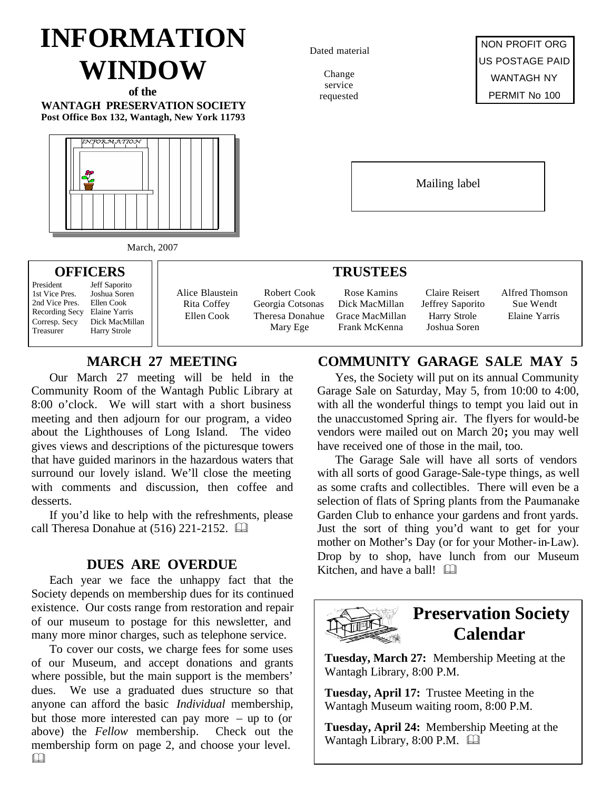# **INFORMATION WINDOW**

**of the WANTAGH PRESERVATION SOCIETY Post Office Box 132, Wantagh, New York 11793**



March, 2007

**OFFICERS** President Jeff Saporito<br>1st Vice Pres. Joshua Soren 1st Vice Pres. Joshua Sore<br>2nd Vice Pres. Ellen Cook

Recording Secy Elaine Yarris Corresp. Secy Dick MacMillan Treasurer Harry Strole

2nd Vice Pres.

Dated material

Change service requested

NON PROFIT ORG US POSTAGE PAID WANTAGH NY PERMIT No 100

Mailing label

## **TRUSTEES**

Robert Cook Georgia Cotsonas Theresa Donahue Mary Ege

Rose Kamins Dick MacMillan Grace MacMillan Frank McKenna

Claire Reisert Jeffrey Saporito Harry Strole Joshua Soren

Alfred Thomson Sue Wendt Elaine Yarris

## **MARCH 27 MEETING**

Alice Blaustein Rita Coffey Ellen Cook

Our March 27 meeting will be held in the Community Room of the Wantagh Public Library at 8:00 o'clock. We will start with a short business meeting and then adjourn for our program, a video about the Lighthouses of Long Island. The video gives views and descriptions of the picturesque towers that have guided marinors in the hazardous waters that surround our lovely island. We'll close the meeting with comments and discussion, then coffee and desserts.

If you'd like to help with the refreshments, please call Theresa Donahue at  $(516)$  221-2152.  $\Box$ 

Each year we face the unhappy fact that the Society depends on membership dues for its continued existence. Our costs range from restoration and repair of our museum to postage for this newsletter, and many more minor charges, such as telephone service.

To cover our costs, we charge fees for some uses of our Museum, and accept donations and grants where possible, but the main support is the members' dues. We use a graduated dues structure so that anyone can afford the basic *Individual* membership, but those more interested can pay more – up to (or above) the *Fellow* membership. Check out the membership form on page 2, and choose your level.

## **COMMUNITY GARAGE SALE MAY 5**

Yes, the Society will put on its annual Community Garage Sale on Saturday, May 5, from 10:00 to 4:00, with all the wonderful things to tempt you laid out in the unaccustomed Spring air. The flyers for would-be vendors were mailed out on March 20**;** you may well have received one of those in the mail, too.

The Garage Sale will have all sorts of vendors with all sorts of good Garage-Sale-type things, as well as some crafts and collectibles. There will even be a selection of flats of Spring plants from the Paumanake Garden Club to enhance your gardens and front yards. Just the sort of thing you'd want to get for your mother on Mother's Day (or for your Mother-in-Law). **DUES ARE OVERDUE** Drop by to shop, have lunch from our Museum Kitchen, and have a ball!  $\Box$ 



## **Preservation Society Calendar**

**Tuesday, March 27:** Membership Meeting at the Wantagh Library, 8:00 P.M.

**Tuesday, April 17:** Trustee Meeting in the Wantagh Museum waiting room, 8:00 P.M.

**Tuesday, April 24:** Membership Meeting at the Wantagh Library, 8:00 P.M.  $\Box$